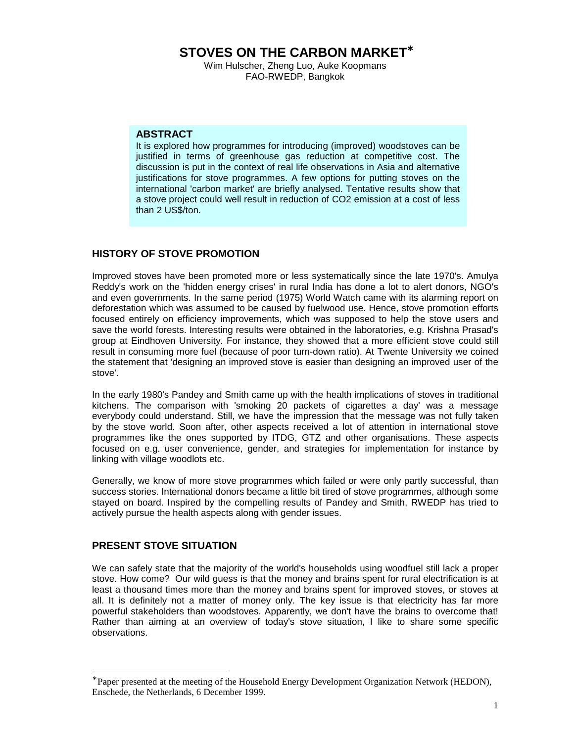**STOVES ON THE CARBON MARKET**<sup>∗</sup>

Wim Hulscher, Zheng Luo, Auke Koopmans FAO-RWEDP, Bangkok

#### **ABSTRACT**

It is explored how programmes for introducing (improved) woodstoves can be justified in terms of greenhouse gas reduction at competitive cost. The discussion is put in the context of real life observations in Asia and alternative justifications for stove programmes. A few options for putting stoves on the international 'carbon market' are briefly analysed. Tentative results show that a stove project could well result in reduction of CO2 emission at a cost of less than 2 US\$/ton.

# **HISTORY OF STOVE PROMOTION**

Improved stoves have been promoted more or less systematically since the late 1970's. Amulya Reddy's work on the 'hidden energy crises' in rural India has done a lot to alert donors, NGO's and even governments. In the same period (1975) World Watch came with its alarming report on deforestation which was assumed to be caused by fuelwood use. Hence, stove promotion efforts focused entirely on efficiency improvements, which was supposed to help the stove users and save the world forests. Interesting results were obtained in the laboratories, e.g. Krishna Prasad's group at Eindhoven University. For instance, they showed that a more efficient stove could still result in consuming more fuel (because of poor turn-down ratio). At Twente University we coined the statement that 'designing an improved stove is easier than designing an improved user of the stove'.

In the early 1980's Pandey and Smith came up with the health implications of stoves in traditional kitchens. The comparison with 'smoking 20 packets of cigarettes a day' was a message everybody could understand. Still, we have the impression that the message was not fully taken by the stove world. Soon after, other aspects received a lot of attention in international stove programmes like the ones supported by ITDG, GTZ and other organisations. These aspects focused on e.g. user convenience, gender, and strategies for implementation for instance by linking with village woodlots etc.

Generally, we know of more stove programmes which failed or were only partly successful, than success stories. International donors became a little bit tired of stove programmes, although some stayed on board. Inspired by the compelling results of Pandey and Smith, RWEDP has tried to actively pursue the health aspects along with gender issues.

## **PRESENT STOVE SITUATION**

 $\overline{a}$ 

We can safely state that the majority of the world's households using woodfuel still lack a proper stove. How come? Our wild guess is that the money and brains spent for rural electrification is at least a thousand times more than the money and brains spent for improved stoves, or stoves at all. It is definitely not a matter of money only. The key issue is that electricity has far more powerful stakeholders than woodstoves. Apparently, we don't have the brains to overcome that! Rather than aiming at an overview of today's stove situation, I like to share some specific observations.

<sup>∗</sup> Paper presented at the meeting of the Household Energy Development Organization Network (HEDON), Enschede, the Netherlands, 6 December 1999.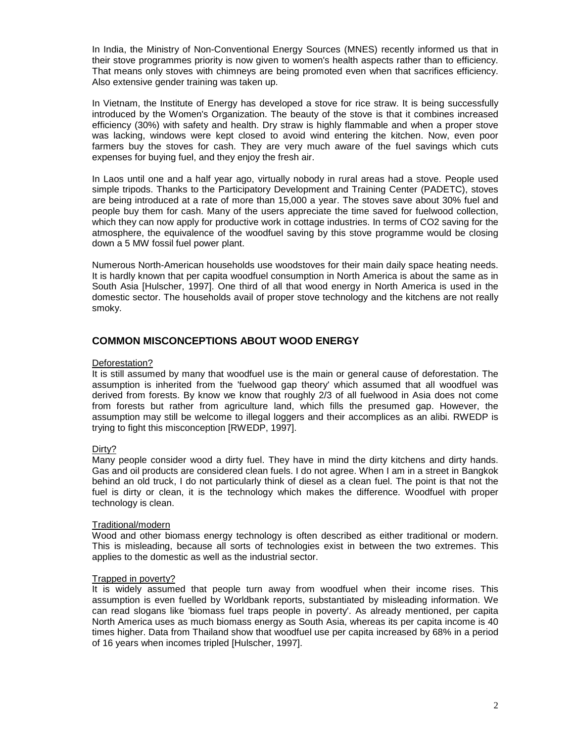In India, the Ministry of Non-Conventional Energy Sources (MNES) recently informed us that in their stove programmes priority is now given to women's health aspects rather than to efficiency. That means only stoves with chimneys are being promoted even when that sacrifices efficiency. Also extensive gender training was taken up.

In Vietnam, the Institute of Energy has developed a stove for rice straw. It is being successfully introduced by the Women's Organization. The beauty of the stove is that it combines increased efficiency (30%) with safety and health. Dry straw is highly flammable and when a proper stove was lacking, windows were kept closed to avoid wind entering the kitchen. Now, even poor farmers buy the stoves for cash. They are very much aware of the fuel savings which cuts expenses for buying fuel, and they enjoy the fresh air.

In Laos until one and a half year ago, virtually nobody in rural areas had a stove. People used simple tripods. Thanks to the Participatory Development and Training Center (PADETC), stoves are being introduced at a rate of more than 15,000 a year. The stoves save about 30% fuel and people buy them for cash. Many of the users appreciate the time saved for fuelwood collection, which they can now apply for productive work in cottage industries. In terms of CO2 saving for the atmosphere, the equivalence of the woodfuel saving by this stove programme would be closing down a 5 MW fossil fuel power plant.

Numerous North-American households use woodstoves for their main daily space heating needs. It is hardly known that per capita woodfuel consumption in North America is about the same as in South Asia [Hulscher, 1997]. One third of all that wood energy in North America is used in the domestic sector. The households avail of proper stove technology and the kitchens are not really smoky.

# **COMMON MISCONCEPTIONS ABOUT WOOD ENERGY**

#### Deforestation?

It is still assumed by many that woodfuel use is the main or general cause of deforestation. The assumption is inherited from the 'fuelwood gap theory' which assumed that all woodfuel was derived from forests. By know we know that roughly 2/3 of all fuelwood in Asia does not come from forests but rather from agriculture land, which fills the presumed gap. However, the assumption may still be welcome to illegal loggers and their accomplices as an alibi. RWEDP is trying to fight this misconception [RWEDP, 1997].

## Dirty?

Many people consider wood a dirty fuel. They have in mind the dirty kitchens and dirty hands. Gas and oil products are considered clean fuels. I do not agree. When I am in a street in Bangkok behind an old truck, I do not particularly think of diesel as a clean fuel. The point is that not the fuel is dirty or clean, it is the technology which makes the difference. Woodfuel with proper technology is clean.

#### Traditional/modern

Wood and other biomass energy technology is often described as either traditional or modern. This is misleading, because all sorts of technologies exist in between the two extremes. This applies to the domestic as well as the industrial sector.

#### Trapped in poverty?

It is widely assumed that people turn away from woodfuel when their income rises. This assumption is even fuelled by Worldbank reports, substantiated by misleading information. We can read slogans like 'biomass fuel traps people in poverty'. As already mentioned, per capita North America uses as much biomass energy as South Asia, whereas its per capita income is 40 times higher. Data from Thailand show that woodfuel use per capita increased by 68% in a period of 16 years when incomes tripled [Hulscher, 1997].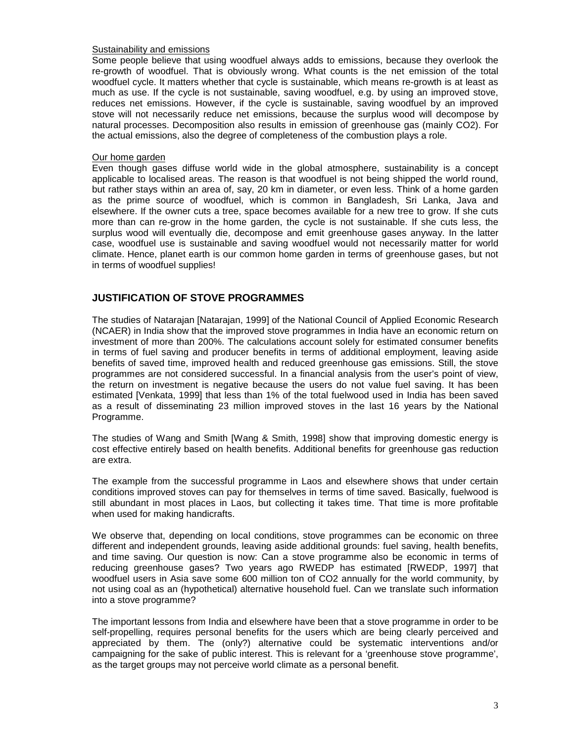#### Sustainability and emissions

Some people believe that using woodfuel always adds to emissions, because they overlook the re-growth of woodfuel. That is obviously wrong. What counts is the net emission of the total woodfuel cycle. It matters whether that cycle is sustainable, which means re-growth is at least as much as use. If the cycle is not sustainable, saving woodfuel, e.g. by using an improved stove, reduces net emissions. However, if the cycle is sustainable, saving woodfuel by an improved stove will not necessarily reduce net emissions, because the surplus wood will decompose by natural processes. Decomposition also results in emission of greenhouse gas (mainly CO2). For the actual emissions, also the degree of completeness of the combustion plays a role.

#### Our home garden

Even though gases diffuse world wide in the global atmosphere, sustainability is a concept applicable to localised areas. The reason is that woodfuel is not being shipped the world round, but rather stays within an area of, say, 20 km in diameter, or even less. Think of a home garden as the prime source of woodfuel, which is common in Bangladesh, Sri Lanka, Java and elsewhere. If the owner cuts a tree, space becomes available for a new tree to grow. If she cuts more than can re-grow in the home garden, the cycle is not sustainable. If she cuts less, the surplus wood will eventually die, decompose and emit greenhouse gases anyway. In the latter case, woodfuel use is sustainable and saving woodfuel would not necessarily matter for world climate. Hence, planet earth is our common home garden in terms of greenhouse gases, but not in terms of woodfuel supplies!

## **JUSTIFICATION OF STOVE PROGRAMMES**

The studies of Natarajan [Natarajan, 1999] of the National Council of Applied Economic Research (NCAER) in India show that the improved stove programmes in India have an economic return on investment of more than 200%. The calculations account solely for estimated consumer benefits in terms of fuel saving and producer benefits in terms of additional employment, leaving aside benefits of saved time, improved health and reduced greenhouse gas emissions. Still, the stove programmes are not considered successful. In a financial analysis from the user's point of view, the return on investment is negative because the users do not value fuel saving. It has been estimated [Venkata, 1999] that less than 1% of the total fuelwood used in India has been saved as a result of disseminating 23 million improved stoves in the last 16 years by the National Programme.

The studies of Wang and Smith [Wang & Smith, 1998] show that improving domestic energy is cost effective entirely based on health benefits. Additional benefits for greenhouse gas reduction are extra.

The example from the successful programme in Laos and elsewhere shows that under certain conditions improved stoves can pay for themselves in terms of time saved. Basically, fuelwood is still abundant in most places in Laos, but collecting it takes time. That time is more profitable when used for making handicrafts.

We observe that, depending on local conditions, stove programmes can be economic on three different and independent grounds, leaving aside additional grounds: fuel saving, health benefits, and time saving. Our question is now: Can a stove programme also be economic in terms of reducing greenhouse gases? Two years ago RWEDP has estimated [RWEDP, 1997] that woodfuel users in Asia save some 600 million ton of CO2 annually for the world community, by not using coal as an (hypothetical) alternative household fuel. Can we translate such information into a stove programme?

The important lessons from India and elsewhere have been that a stove programme in order to be self-propelling, requires personal benefits for the users which are being clearly perceived and appreciated by them. The (only?) alternative could be systematic interventions and/or campaigning for the sake of public interest. This is relevant for a 'greenhouse stove programme', as the target groups may not perceive world climate as a personal benefit.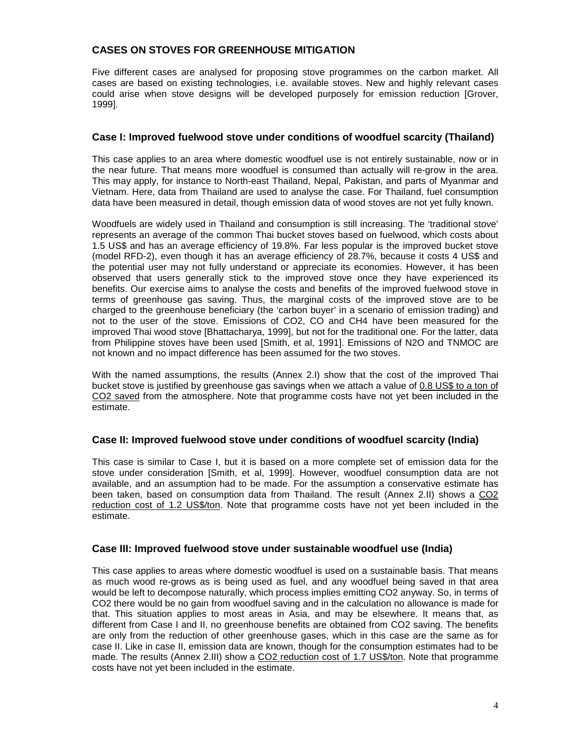# **CASES ON STOVES FOR GREENHOUSE MITIGATION**

Five different cases are analysed for proposing stove programmes on the carbon market. All cases are based on existing technologies, i.e. available stoves. New and highly relevant cases could arise when stove designs will be developed purposely for emission reduction [Grover, 1999].

## **Case I: Improved fuelwood stove under conditions of woodfuel scarcity (Thailand)**

This case applies to an area where domestic woodfuel use is not entirely sustainable, now or in the near future. That means more woodfuel is consumed than actually will re-grow in the area. This may apply, for instance to North-east Thailand, Nepal, Pakistan, and parts of Myanmar and Vietnam. Here, data from Thailand are used to analyse the case. For Thailand, fuel consumption data have been measured in detail, though emission data of wood stoves are not yet fully known.

Woodfuels are widely used in Thailand and consumption is still increasing. The 'traditional stove' represents an average of the common Thai bucket stoves based on fuelwood, which costs about 1.5 US\$ and has an average efficiency of 19.8%. Far less popular is the improved bucket stove (model RFD-2), even though it has an average efficiency of 28.7%, because it costs 4 US\$ and the potential user may not fully understand or appreciate its economies. However, it has been observed that users generally stick to the improved stove once they have experienced its benefits. Our exercise aims to analyse the costs and benefits of the improved fuelwood stove in terms of greenhouse gas saving. Thus, the marginal costs of the improved stove are to be charged to the greenhouse beneficiary (the 'carbon buyer' in a scenario of emission trading) and not to the user of the stove. Emissions of CO2, CO and CH4 have been measured for the improved Thai wood stove [Bhattacharya, 1999], but not for the traditional one. For the latter, data from Philippine stoves have been used [Smith, et al, 1991]. Emissions of N2O and TNMOC are not known and no impact difference has been assumed for the two stoves.

With the named assumptions, the results (Annex 2.I) show that the cost of the improved Thai bucket stove is justified by greenhouse gas savings when we attach a value of 0.8 US\$ to a ton of CO2 saved from the atmosphere. Note that programme costs have not yet been included in the estimate.

# **Case II: Improved fuelwood stove under conditions of woodfuel scarcity (India)**

This case is similar to Case I, but it is based on a more complete set of emission data for the stove under consideration [Smith, et al, 1999]. However, woodfuel consumption data are not available, and an assumption had to be made. For the assumption a conservative estimate has been taken, based on consumption data from Thailand. The result (Annex 2.II) shows a CO2 reduction cost of 1.2 US\$/ton. Note that programme costs have not yet been included in the estimate.

## **Case III: Improved fuelwood stove under sustainable woodfuel use (India)**

This case applies to areas where domestic woodfuel is used on a sustainable basis. That means as much wood re-grows as is being used as fuel, and any woodfuel being saved in that area would be left to decompose naturally, which process implies emitting CO2 anyway. So, in terms of CO2 there would be no gain from woodfuel saving and in the calculation no allowance is made for that. This situation applies to most areas in Asia, and may be elsewhere. It means that, as different from Case I and II, no greenhouse benefits are obtained from CO2 saving. The benefits are only from the reduction of other greenhouse gases, which in this case are the same as for case II. Like in case II, emission data are known, though for the consumption estimates had to be made. The results (Annex 2.III) show a CO2 reduction cost of 1.7 US\$/ton. Note that programme costs have not yet been included in the estimate.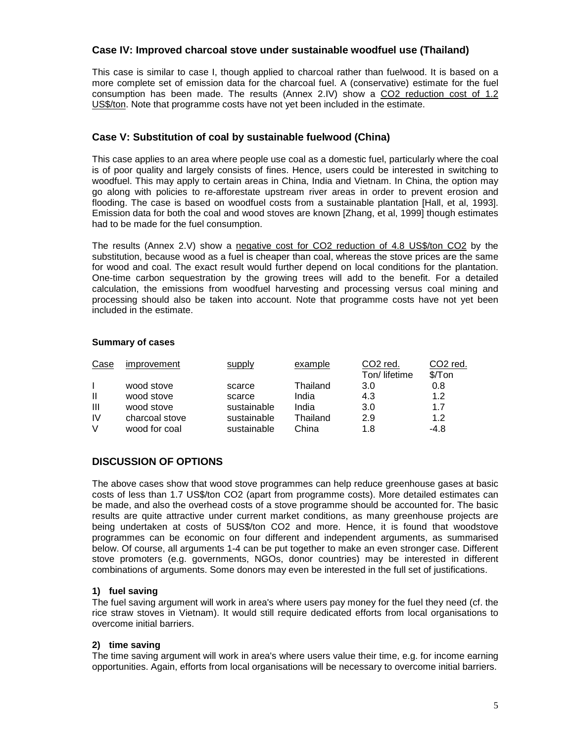## **Case IV: Improved charcoal stove under sustainable woodfuel use (Thailand)**

This case is similar to case I, though applied to charcoal rather than fuelwood. It is based on a more complete set of emission data for the charcoal fuel. A (conservative) estimate for the fuel consumption has been made. The results (Annex 2.IV) show a CO2 reduction cost of 1.2 US\$/ton. Note that programme costs have not yet been included in the estimate.

# **Case V: Substitution of coal by sustainable fuelwood (China)**

This case applies to an area where people use coal as a domestic fuel, particularly where the coal is of poor quality and largely consists of fines. Hence, users could be interested in switching to woodfuel. This may apply to certain areas in China, India and Vietnam. In China, the option may go along with policies to re-afforestate upstream river areas in order to prevent erosion and flooding. The case is based on woodfuel costs from a sustainable plantation [Hall, et al, 1993]. Emission data for both the coal and wood stoves are known [Zhang, et al, 1999] though estimates had to be made for the fuel consumption.

The results (Annex 2.V) show a negative cost for CO2 reduction of 4.8 US\$/ton CO2 by the substitution, because wood as a fuel is cheaper than coal, whereas the stove prices are the same for wood and coal. The exact result would further depend on local conditions for the plantation. One-time carbon sequestration by the growing trees will add to the benefit. For a detailed calculation, the emissions from woodfuel harvesting and processing versus coal mining and processing should also be taken into account. Note that programme costs have not yet been included in the estimate.

#### **Summary of cases**

| Case           | improvement    | supply      | example  | CO2 red.      | CO <sub>2</sub> red.  |
|----------------|----------------|-------------|----------|---------------|-----------------------|
|                |                |             |          | Ton/ lifetime | $\sqrt{\frac{2}{10}}$ |
|                | wood stove     | scarce      | Thailand | 3.0           | 0.8                   |
| Ш              | wood stove     | scarce      | India    | 4.3           | 1.2                   |
| $\mathbf{III}$ | wood stove     | sustainable | India    | 3.0           | 1.7                   |
| IV             | charcoal stove | sustainable | Thailand | 2.9           | 1.2                   |
| V              | wood for coal  | sustainable | China    | 1.8           | $-4.8$                |

# **DISCUSSION OF OPTIONS**

The above cases show that wood stove programmes can help reduce greenhouse gases at basic costs of less than 1.7 US\$/ton CO2 (apart from programme costs). More detailed estimates can be made, and also the overhead costs of a stove programme should be accounted for. The basic results are quite attractive under current market conditions, as many greenhouse projects are being undertaken at costs of 5US\$/ton CO2 and more. Hence, it is found that woodstove programmes can be economic on four different and independent arguments, as summarised below. Of course, all arguments 1-4 can be put together to make an even stronger case. Different stove promoters (e.g. governments, NGOs, donor countries) may be interested in different combinations of arguments. Some donors may even be interested in the full set of justifications.

## **1) fuel saving**

The fuel saving argument will work in area's where users pay money for the fuel they need (cf. the rice straw stoves in Vietnam). It would still require dedicated efforts from local organisations to overcome initial barriers.

#### **2) time saving**

The time saving argument will work in area's where users value their time, e.g. for income earning opportunities. Again, efforts from local organisations will be necessary to overcome initial barriers.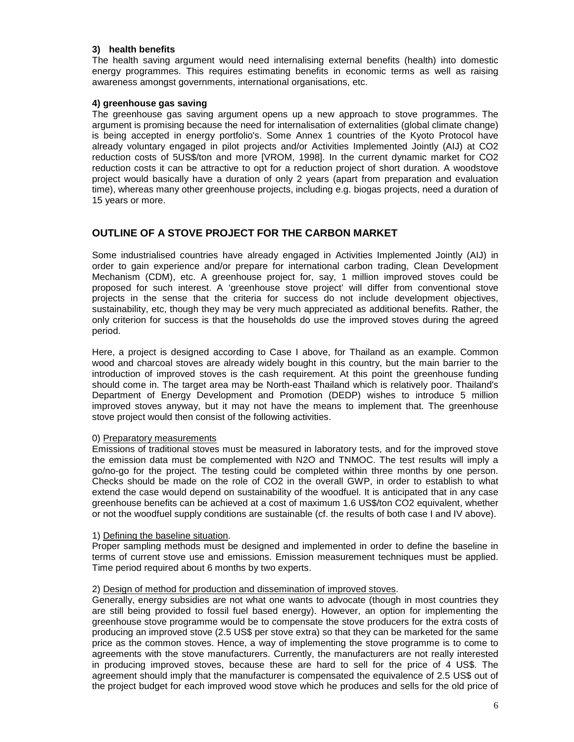#### **3) health benefits**

The health saving argument would need internalising external benefits (health) into domestic energy programmes. This requires estimating benefits in economic terms as well as raising awareness amongst governments, international organisations, etc.

#### **4) greenhouse gas saving**

The greenhouse gas saving argument opens up a new approach to stove programmes. The argument is promising because the need for internalisation of externalities (global climate change) is being accepted in energy portfolio's. Some Annex 1 countries of the Kyoto Protocol have already voluntary engaged in pilot projects and/or Activities Implemented Jointly (AIJ) at CO2 reduction costs of 5US\$/ton and more [VROM, 1998]. In the current dynamic market for CO2 reduction costs it can be attractive to opt for a reduction project of short duration. A woodstove project would basically have a duration of only 2 years (apart from preparation and evaluation time), whereas many other greenhouse projects, including e.g. biogas projects, need a duration of 15 years or more.

# **OUTLINE OF A STOVE PROJECT FOR THE CARBON MARKET**

Some industrialised countries have already engaged in Activities Implemented Jointly (AIJ) in order to gain experience and/or prepare for international carbon trading, Clean Development Mechanism (CDM), etc. A greenhouse project for, say, 1 million improved stoves could be proposed for such interest. A 'greenhouse stove project' will differ from conventional stove projects in the sense that the criteria for success do not include development objectives, sustainability, etc, though they may be very much appreciated as additional benefits. Rather, the only criterion for success is that the households do use the improved stoves during the agreed period.

Here, a project is designed according to Case I above, for Thailand as an example. Common wood and charcoal stoves are already widely bought in this country, but the main barrier to the introduction of improved stoves is the cash requirement. At this point the greenhouse funding should come in. The target area may be North-east Thailand which is relatively poor. Thailand's Department of Energy Development and Promotion (DEDP) wishes to introduce 5 million improved stoves anyway, but it may not have the means to implement that. The greenhouse stove project would then consist of the following activities.

## 0) Preparatory measurements

Emissions of traditional stoves must be measured in laboratory tests, and for the improved stove the emission data must be complemented with N2O and TNMOC. The test results will imply a go/no-go for the project. The testing could be completed within three months by one person. Checks should be made on the role of CO2 in the overall GWP, in order to establish to what extend the case would depend on sustainability of the woodfuel. It is anticipated that in any case greenhouse benefits can be achieved at a cost of maximum 1.6 US\$/ton CO2 equivalent, whether or not the woodfuel supply conditions are sustainable (cf. the results of both case I and IV above).

## 1) Defining the baseline situation.

Proper sampling methods must be designed and implemented in order to define the baseline in terms of current stove use and emissions. Emission measurement techniques must be applied. Time period required about 6 months by two experts.

## 2) Design of method for production and dissemination of improved stoves.

Generally, energy subsidies are not what one wants to advocate (though in most countries they are still being provided to fossil fuel based energy). However, an option for implementing the greenhouse stove programme would be to compensate the stove producers for the extra costs of producing an improved stove (2.5 US\$ per stove extra) so that they can be marketed for the same price as the common stoves. Hence, a way of implementing the stove programme is to come to agreements with the stove manufacturers. Currently, the manufacturers are not really interested in producing improved stoves, because these are hard to sell for the price of 4 US\$. The agreement should imply that the manufacturer is compensated the equivalence of 2.5 US\$ out of the project budget for each improved wood stove which he produces and sells for the old price of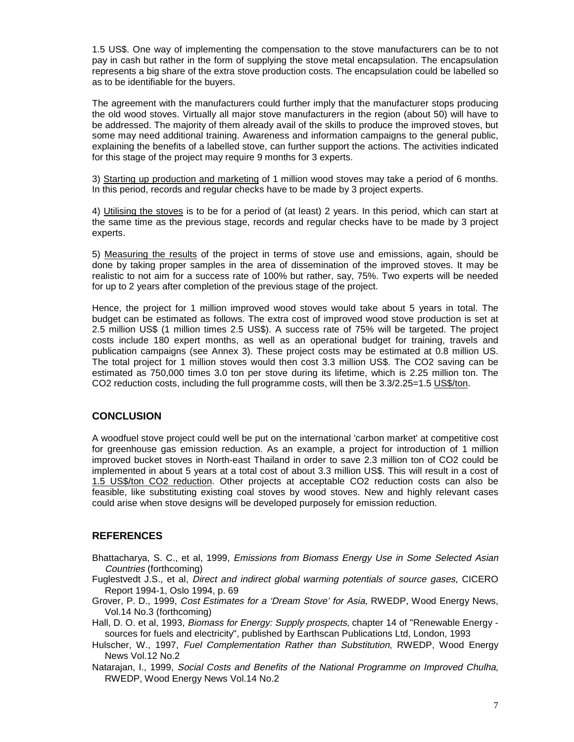1.5 US\$. One way of implementing the compensation to the stove manufacturers can be to not pay in cash but rather in the form of supplying the stove metal encapsulation. The encapsulation represents a big share of the extra stove production costs. The encapsulation could be labelled so as to be identifiable for the buyers.

The agreement with the manufacturers could further imply that the manufacturer stops producing the old wood stoves. Virtually all major stove manufacturers in the region (about 50) will have to be addressed. The majority of them already avail of the skills to produce the improved stoves, but some may need additional training. Awareness and information campaigns to the general public, explaining the benefits of a labelled stove, can further support the actions. The activities indicated for this stage of the project may require 9 months for 3 experts.

3) Starting up production and marketing of 1 million wood stoves may take a period of 6 months. In this period, records and regular checks have to be made by 3 project experts.

4) Utilising the stoves is to be for a period of (at least) 2 years. In this period, which can start at the same time as the previous stage, records and regular checks have to be made by 3 project experts.

5) Measuring the results of the project in terms of stove use and emissions, again, should be done by taking proper samples in the area of dissemination of the improved stoves. It may be realistic to not aim for a success rate of 100% but rather, say, 75%. Two experts will be needed for up to 2 years after completion of the previous stage of the project.

Hence, the project for 1 million improved wood stoves would take about 5 years in total. The budget can be estimated as follows. The extra cost of improved wood stove production is set at 2.5 million US\$ (1 million times 2.5 US\$). A success rate of 75% will be targeted. The project costs include 180 expert months, as well as an operational budget for training, travels and publication campaigns (see Annex 3). These project costs may be estimated at 0.8 million US. The total project for 1 million stoves would then cost 3.3 million US\$. The CO2 saving can be estimated as 750,000 times 3.0 ton per stove during its lifetime, which is 2.25 million ton. The CO2 reduction costs, including the full programme costs, will then be 3.3/2.25=1.5 US\$/ton.

## **CONCLUSION**

A woodfuel stove project could well be put on the international 'carbon market' at competitive cost for greenhouse gas emission reduction. As an example, a project for introduction of 1 million improved bucket stoves in North-east Thailand in order to save 2.3 million ton of CO2 could be implemented in about 5 years at a total cost of about 3.3 million US\$. This will result in a cost of 1.5 US\$/ton CO2 reduction. Other projects at acceptable CO2 reduction costs can also be feasible, like substituting existing coal stoves by wood stoves. New and highly relevant cases could arise when stove designs will be developed purposely for emission reduction.

## **REFERENCES**

- Bhattacharya, S. C., et al, 1999, Emissions from Biomass Energy Use in Some Selected Asian Countries (forthcoming)
- Fuglestvedt J.S., et al, Direct and indirect global warming potentials of source gases, CICERO Report 1994-1, Oslo 1994, p. 69
- Grover, P. D., 1999, Cost Estimates for a 'Dream Stove' for Asia, RWEDP, Wood Energy News, Vol.14 No.3 (forthcoming)
- Hall, D. O. et al, 1993, Biomass for Energy: Supply prospects, chapter 14 of "Renewable Energy sources for fuels and electricity", published by Earthscan Publications Ltd, London, 1993
- Hulscher, W., 1997, Fuel Complementation Rather than Substitution, RWEDP, Wood Energy News Vol.12 No.2
- Natarajan, I., 1999, Social Costs and Benefits of the National Programme on Improved Chulha, RWEDP, Wood Energy News Vol.14 No.2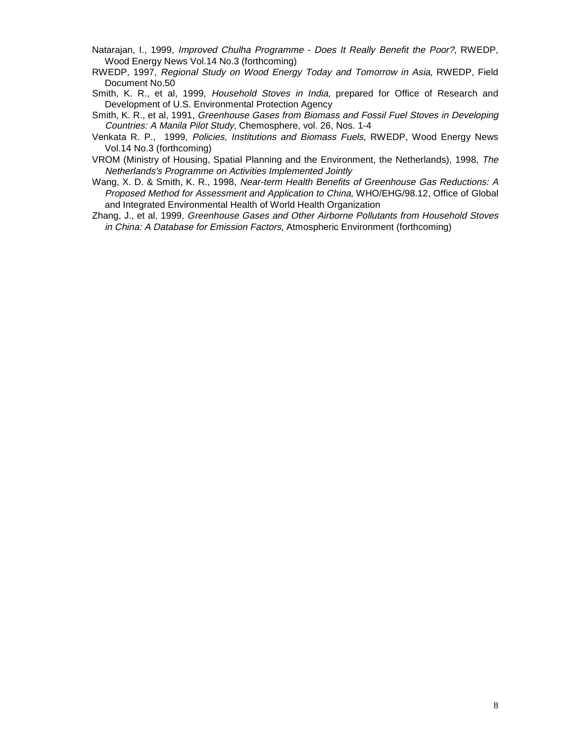- Natarajan, I., 1999, Improved Chulha Programme Does It Really Benefit the Poor?, RWEDP, Wood Energy News Vol.14 No.3 (forthcoming)
- RWEDP, 1997, Regional Study on Wood Energy Today and Tomorrow in Asia, RWEDP, Field Document No.50
- Smith, K. R., et al, 1999, Household Stoves in India, prepared for Office of Research and Development of U.S. Environmental Protection Agency
- Smith, K. R., et al, 1991, Greenhouse Gases from Biomass and Fossil Fuel Stoves in Developing Countries: A Manila Pilot Study, Chemosphere, vol. 26, Nos. 1-4
- Venkata R. P., 1999, Policies, Institutions and Biomass Fuels, RWEDP, Wood Energy News Vol.14 No.3 (forthcoming)
- VROM (Ministry of Housing, Spatial Planning and the Environment, the Netherlands), 1998, The Netherlands's Programme on Activities Implemented Jointly
- Wang, X. D. & Smith, K. R., 1998, Near-term Health Benefits of Greenhouse Gas Reductions: A Proposed Method for Assessment and Application to China, WHO/EHG/98.12, Office of Global and Integrated Environmental Health of World Health Organization
- Zhang, J., et al, 1999, Greenhouse Gases and Other Airborne Pollutants from Household Stoves in China: A Database for Emission Factors, Atmospheric Environment (forthcoming)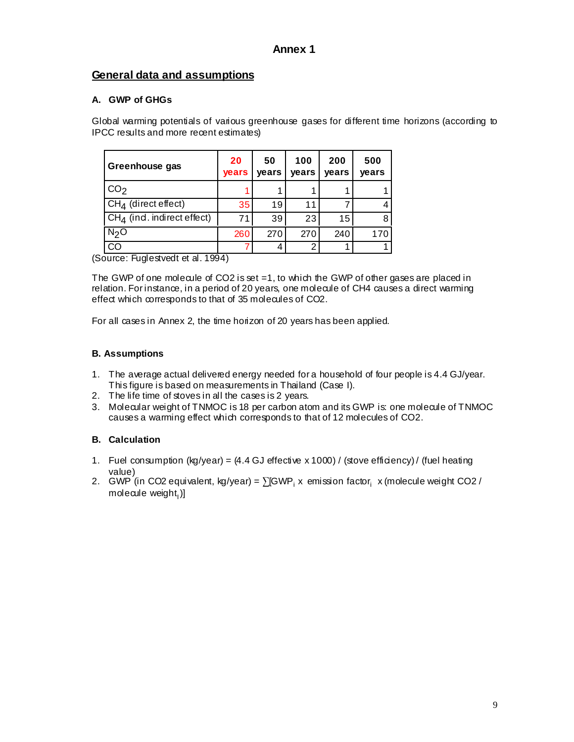# **General data and assumptions**

# **A. GWP of GHGs**

Global warming potentials of various greenhouse gases for different time horizons (according to IPCC results and more recent estimates)

| Greenhouse gas                         | 20<br><b>vears</b> | 50<br>vears | 100<br>vears | 200<br>vears | 500<br>vears |
|----------------------------------------|--------------------|-------------|--------------|--------------|--------------|
| CO <sub>2</sub>                        |                    |             |              |              |              |
| $CH4$ (direct effect)                  | 35 <sub>1</sub>    | 19          | 11           |              | 4            |
| CH <sub>4</sub> (ind. indirect effect) | 71                 | 39          | 23           | 15           | 8            |
| N <sub>2</sub> O                       | 260                | 270         | 270          | 240          | 170          |
|                                        |                    | 4           | っ            |              |              |

(Source: Fuglestvedt et al. 1994)

The GWP of one molecule of CO2 is set  $=1$ , to which the GWP of other gases are placed in relation. For instance, in a period of 20 years, one molecule of CH4 causes a direct warming effect which corresponds to that of 35 molecules of CO2.

For all cases in Annex 2, the time horizon of 20 years has been applied.

# **B. Assumptions**

- 1. The average actual delivered energy needed for a household of four people is 4.4 GJ/year. This figure is based on measurements in Thailand (Case I).
- 2. The life time of stoves in all the cases is 2 years.
- 3. Molecular weight of TNMOC is 18 per carbon atom and its GWP is: one molecule of TNMOC causes a warming effect which corresponds to that of 12 molecules of CO2.

# **B. Calculation**

- 1. Fuel consumption (kg/year) =  $(4.4 \text{ GJ}$  effective x 1000) / (stove efficiency) / (fuel heating value)
- 2.  $\,$  GWP (in CO2 equivalent, kg/year) =  $\sum$ [GWP $_{\rm i}$  x emission factor $_{\rm i}$  x (molecule weight CO2 / molecule weight $_1$ ]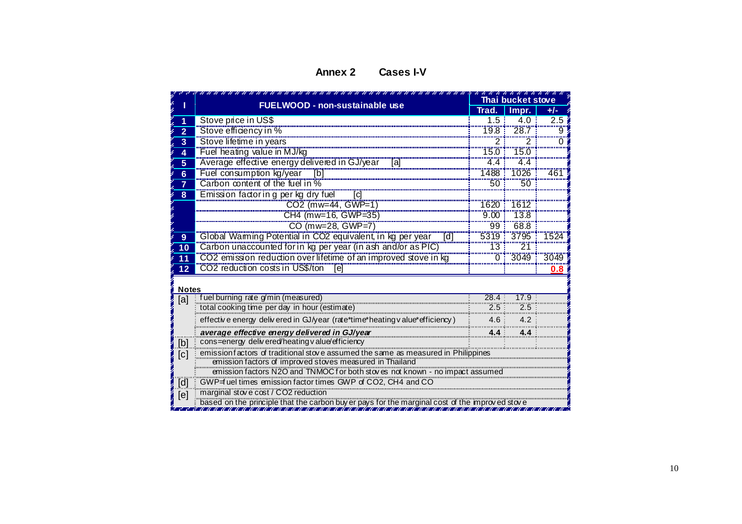#### **Annex 2 Cases I-V**

|                |                                                                                                                                                                                                                                         | ,,,,,,,,,,,,,,,,,<br>Thai bucket stove |                                                                                                |         |  |  |  |  |  |  |
|----------------|-----------------------------------------------------------------------------------------------------------------------------------------------------------------------------------------------------------------------------------------|----------------------------------------|------------------------------------------------------------------------------------------------|---------|--|--|--|--|--|--|
|                | <b>FUELWOOD - non-sustainable use</b>                                                                                                                                                                                                   | Trad.                                  | Impr.                                                                                          | $+/-$   |  |  |  |  |  |  |
|                | Stove price in US\$                                                                                                                                                                                                                     | 1.5:                                   | 4.0                                                                                            | 2.5     |  |  |  |  |  |  |
| $\overline{2}$ | Stove efficiency in %                                                                                                                                                                                                                   | 79.8                                   | $\overline{28.7}$                                                                              | 9       |  |  |  |  |  |  |
| 3              | Stove lifetime in years                                                                                                                                                                                                                 | 2.                                     |                                                                                                |         |  |  |  |  |  |  |
| 4              | Fuel heating value in MJ/kg                                                                                                                                                                                                             | $750$ :                                | <b>75.0</b>                                                                                    |         |  |  |  |  |  |  |
| $\overline{5}$ | Average effective energy delivered in GJ/year [a]                                                                                                                                                                                       | $\overline{4.4}$                       | $-4.4$                                                                                         |         |  |  |  |  |  |  |
| $\overline{6}$ |                                                                                                                                                                                                                                         | $7488$ :                               | "1026"                                                                                         | 461     |  |  |  |  |  |  |
| $\overline{7}$ |                                                                                                                                                                                                                                         | $50^{\circ}$                           | 50                                                                                             |         |  |  |  |  |  |  |
| 8              | Fuel consumption kg/year [b]<br>Carbon content of the fuel in %<br>Emission factor in g per kg dry fuel<br>ſd                                                                                                                           |                                        |                                                                                                |         |  |  |  |  |  |  |
|                | CO2 (mw=44, GWP=1)                                                                                                                                                                                                                      | 1620                                   |                                                                                                |         |  |  |  |  |  |  |
|                | CH4 (mw=16, GWP=35)                                                                                                                                                                                                                     | $9.00$ :                               | 73.8                                                                                           |         |  |  |  |  |  |  |
|                | CO (mw=28, GWP=7)                                                                                                                                                                                                                       | 99.5                                   | 68.8                                                                                           |         |  |  |  |  |  |  |
| 9              | Global Warming Potential in CO2 equivalent, in kg per year [d]<br>Carbon unaccounted for in kg per year (in ash and/or as PIC)<br>CO2 emission reduction over lifetime of an improved stove in kg [10]<br>CO2 emission reduction over l |                                        |                                                                                                | 1524    |  |  |  |  |  |  |
| 10             |                                                                                                                                                                                                                                         |                                        |                                                                                                |         |  |  |  |  |  |  |
| 11             |                                                                                                                                                                                                                                         |                                        |                                                                                                | 3049    |  |  |  |  |  |  |
| 12             | CO2 reduction costs in US\$/ton<br>[e]                                                                                                                                                                                                  |                                        |                                                                                                | $0.8\,$ |  |  |  |  |  |  |
|                |                                                                                                                                                                                                                                         |                                        |                                                                                                |         |  |  |  |  |  |  |
| Notes          | fuel burning rate g/min (measured)                                                                                                                                                                                                      | 28.4                                   | 17.9                                                                                           |         |  |  |  |  |  |  |
| [a]            | total cooking time per day in hour (estimate)                                                                                                                                                                                           | 2.5                                    | 2.5                                                                                            |         |  |  |  |  |  |  |
|                | effective energy delivered in GJ/year (rate*time*heating value*efficiency)                                                                                                                                                              | 4.6                                    | 4.2                                                                                            |         |  |  |  |  |  |  |
|                | average effective energy delivered in GJ/year                                                                                                                                                                                           | 4.4                                    |                                                                                                |         |  |  |  |  |  |  |
| [b]            | cons=energy delivered/heating value/efficiency                                                                                                                                                                                          |                                        |                                                                                                |         |  |  |  |  |  |  |
| [c]            | emission factors of traditional stove assumed the same as measured in Philippines<br>emission factors of improved stoves measured in Thailand                                                                                           |                                        |                                                                                                |         |  |  |  |  |  |  |
|                | emission factors N2O and TNMOC for both stoves not known - no impact assumed                                                                                                                                                            |                                        |                                                                                                |         |  |  |  |  |  |  |
| [d]            | GWP=f uel times emission factor times GWP of CO2, CH4 and CO                                                                                                                                                                            |                                        |                                                                                                |         |  |  |  |  |  |  |
| [e]            | marginal stove cost / CO2 reduction                                                                                                                                                                                                     |                                        |                                                                                                |         |  |  |  |  |  |  |
|                |                                                                                                                                                                                                                                         |                                        | based on the principle that the carbon buy er pays for the marginal cost of the improved stove |         |  |  |  |  |  |  |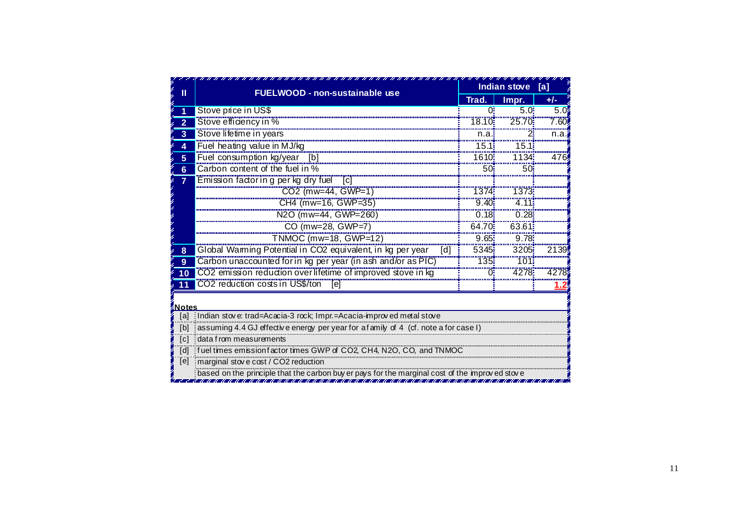|                     | <b>FUELWOOD - non-sustainable use</b>                                                                         | <b>Indian stove</b>  | [a]       |                   |  |  |  |  |
|---------------------|---------------------------------------------------------------------------------------------------------------|----------------------|-----------|-------------------|--|--|--|--|
|                     |                                                                                                               | Trad.                | Impr.     | $+/-$             |  |  |  |  |
|                     | Stove price in US\$                                                                                           | Ωi                   | $5.0^{1}$ | 5.0               |  |  |  |  |
| 2                   | Stove efficiency in %                                                                                         | 18.10                | 25.70     | 7.60 <sup>i</sup> |  |  |  |  |
| 3                   | Stove lifetime in years                                                                                       | n.a.                 |           | n.a.              |  |  |  |  |
| 4                   | Fuel heating value in MJ/kg                                                                                   | $15.1^{\frac{1}{2}}$ | 15.1      |                   |  |  |  |  |
| 5                   | Fuel consumption kg/year [b]                                                                                  | 1610                 | 1134      | 476               |  |  |  |  |
| $6\phantom{a}$      | Carbon content of the fuel in %                                                                               | $50\overline{5}$     | 50        |                   |  |  |  |  |
| $\overline{7}$      | Emission factor in g per kg dry fuel<br>[c]                                                                   |                      |           |                   |  |  |  |  |
|                     | CO2 (mw=44, GWP=1)                                                                                            | 1374:                | 1373      |                   |  |  |  |  |
|                     | CH4 (mw=16, GWP=35)                                                                                           | 9.40                 | 4.11      |                   |  |  |  |  |
|                     | N2O (mw=44, GWP=260)                                                                                          | $\overline{0.18}$    | 0.28      |                   |  |  |  |  |
|                     | CO (mw=28, GWP=7)                                                                                             | 64.70                | 63.61     |                   |  |  |  |  |
|                     | TNMOC (mw=18, GWP=12)                                                                                         | $9.65\frac{1}{2}$    | 9.78      |                   |  |  |  |  |
| 8                   | Global Warming Potential in CO2 equivalent, in kg per year<br>[d]                                             | 5345:                | 3205      | 2139!             |  |  |  |  |
| 9                   | Carbon unaccounted for in kg per year (in ash and/or as PIC)                                                  | 135.                 | 101       |                   |  |  |  |  |
| 10                  | CO2 emission reduction over lifetime of improved stove in kg                                                  |                      | 4278      | 4278              |  |  |  |  |
|                     | CO2 reduction costs in US\$/ton<br>ſel                                                                        |                      |           |                   |  |  |  |  |
|                     |                                                                                                               |                      |           |                   |  |  |  |  |
| <b>Notes</b><br>Tal |                                                                                                               |                      |           |                   |  |  |  |  |
| [b]                 | Indian stove: trad=Acacia-3 rock; Impr.=Acacia-improved metal stove                                           |                      |           |                   |  |  |  |  |
| [c]                 | assuming 4.4 GJ effective energy per year for a family of 4 (cf. note a for case I)<br>data from measurements |                      |           |                   |  |  |  |  |
| [d]                 | fuel times emission factor times GWP of CO2, CH4, N2O, CO, and TNMOC                                          |                      |           |                   |  |  |  |  |
| $\overline{[e]}$    | marginal stove cost / CO2 reduction                                                                           |                      |           |                   |  |  |  |  |
|                     | based on the principle that the carbon buy er pays for the marginal cost of the improved stove                |                      |           |                   |  |  |  |  |
|                     |                                                                                                               |                      |           |                   |  |  |  |  |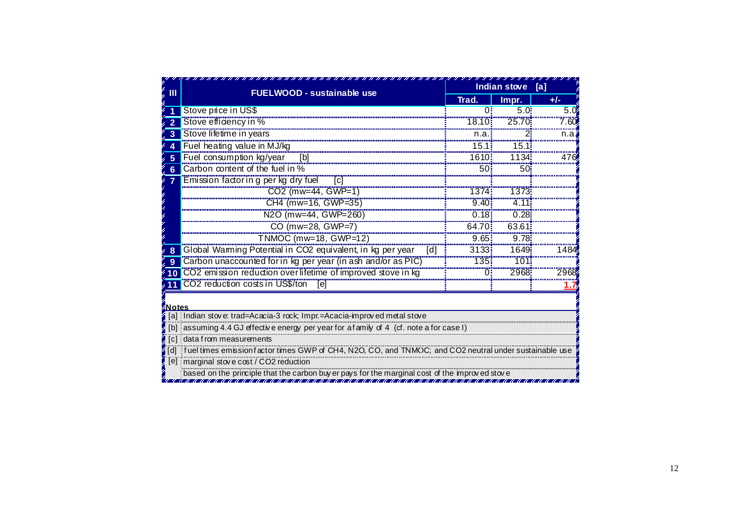|                |                                                                                                       | <b>Indian stove</b>                   | [a]           |       |
|----------------|-------------------------------------------------------------------------------------------------------|---------------------------------------|---------------|-------|
| Ш              | <b>FUELWOOD - sustainable use</b>                                                                     | Trad.                                 | Impr.         | $+/-$ |
|                | Stove price in US\$                                                                                   | 0                                     | $5.0^{\circ}$ | 5.0   |
| $\overline{2}$ | Stove efficiency in %                                                                                 | 18.10:                                | 25.70         | 7.60  |
| 3              | Stove lifetime in years                                                                               | n.a                                   |               | n.a.  |
| 4              | Fuel heating value in MJ/kg                                                                           | 15.1                                  | 15.15         |       |
| 5              | Fuel consumption kg/year<br>[b]                                                                       |                                       | 1134          | 476   |
| 6              | Carbon content of the fuel in %                                                                       | 50                                    | 50.           |       |
|                | Emission factor in g per kg dry fuel<br>$\lceil c \rceil$                                             |                                       |               |       |
|                | CO2 (mw=44, GWP=1)                                                                                    |                                       | 1373:         |       |
|                | CH4 (mw=16, GWP=35)                                                                                   | 9.40:                                 |               |       |
|                | N2O (mw=44, GWP=260)                                                                                  | $\overline{0.18}$ :                   | 0.285         |       |
|                | CO (mw=28, GWP=7)                                                                                     | $\begin{bmatrix} 64.70 \end{bmatrix}$ | 63.61         |       |
|                | TNMOC (mw=18, GWP=12)                                                                                 | $9.65\frac{1}{2}$                     | 9.78:         |       |
| 8              | Global Warming Potential in CO2 equivalent, in kg per year<br>$\lceil d \rceil$                       | 3133                                  | 1649:         | 1484  |
| 9              | Carbon unaccounted for in kg per year (in ash and/or as PIC)                                          | 135.                                  | 101           |       |
|                | CO2 emission reduction over lifetime of improved stove in kg                                          |                                       | 2968          | 2968  |
|                | CO2 reduction costs in US\$/ton<br>Tel                                                                |                                       |               |       |
| Notes          |                                                                                                       |                                       |               |       |
|                | [a] Indian stove trad=Acacia-3 rock; Impr.=Acacia-improved metal stove                                |                                       |               |       |
|                | [b] assuming 4.4 GJ effective energy per year for a family of 4 (cf. note a for case I)               |                                       |               |       |
| [c]            | data from measurements                                                                                |                                       |               |       |
| [d]            | the times emission factor times GWP of CH4, N2O, CO, and TNMOC; and CO2 neutral under sustainable use |                                       |               |       |
|                | [e] marginal stove cost / CO2 reduction                                                               |                                       |               |       |
|                | based on the principle that the carbon buy er pays for the marginal cost of the improved stove        |                                       |               |       |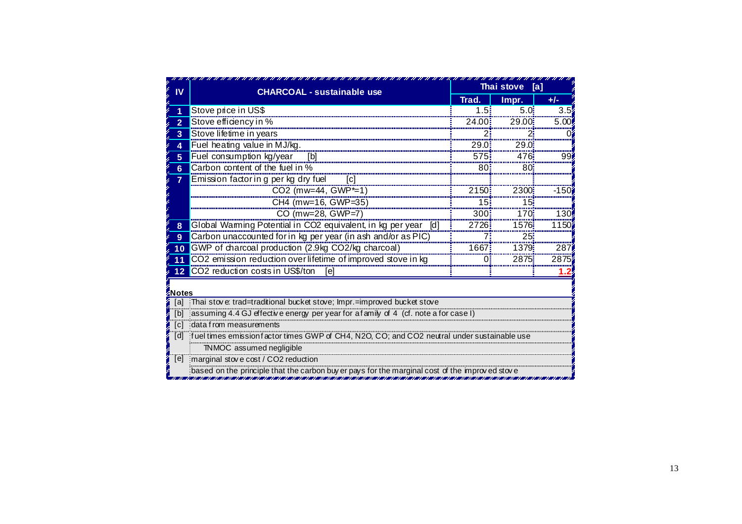| IV             | <b>CHARCOAL - sustainable use</b>                                                             | Thai stove [a]  |                   |         |  |  |  |  |  |
|----------------|-----------------------------------------------------------------------------------------------|-----------------|-------------------|---------|--|--|--|--|--|
|                |                                                                                               | Trad.           | Impr.             | $+/-$   |  |  |  |  |  |
|                | Stove price in US\$                                                                           | 1.5:            | $5.0\overline{5}$ | 3.5     |  |  |  |  |  |
| $\overline{2}$ | Stove efficiency in %                                                                         | 24.00           | 29.00             | 5.001   |  |  |  |  |  |
| 3              | Stove lifetime in years                                                                       |                 |                   |         |  |  |  |  |  |
| 4              | Fuel heating value in MJ/kg.                                                                  | 29.0            | 29.0              |         |  |  |  |  |  |
| 5              | Fuel consumption kg/year [b]                                                                  | 575             | 476:              | 99i     |  |  |  |  |  |
| 6              | Carbon content of the fuel in %                                                               | 80              | 80                |         |  |  |  |  |  |
| $\overline{7}$ | Emission factor in g per kg dry fuel<br>$\lceil c \rceil$                                     |                 |                   |         |  |  |  |  |  |
|                | CO2 (mw=44, GWP*=1)                                                                           | 2150            | 2300              | $-150i$ |  |  |  |  |  |
|                | CH4 (mw=16, GWP=35)                                                                           | 15 <sup>3</sup> | 15 <sup>3</sup>   |         |  |  |  |  |  |
|                | CO (mw=28, GWP=7)                                                                             | 300             | 170 <sub>i</sub>  | 130     |  |  |  |  |  |
| 8              | Global Warming Potential in CO2 equivalent, in kg per year [d]                                | 2726            | 1576              | 1150    |  |  |  |  |  |
| 9              | Carbon unaccounted for in kg per year (in ash and/or as PIC)                                  |                 | 25 <sup>2</sup>   |         |  |  |  |  |  |
| 10             | GWP of charcoal production (2.9kg CO2/kg charcoal)                                            | 1667            | <br>1379:         | 287     |  |  |  |  |  |
| 11             | CO2 emission reduction over lifetime of improved stove in kg                                  | ∩i              | 2875:             | 2875    |  |  |  |  |  |
| 12             | CO2 reduction costs in US\$/ton<br>[e]                                                        |                 |                   |         |  |  |  |  |  |
| Notes          |                                                                                               |                 |                   |         |  |  |  |  |  |
| [a]            | Thai stove: trad=traditional bucket stove; Impr.=improved bucket stove                        |                 |                   |         |  |  |  |  |  |
| [b]            | assuming 4.4 GJ effective energy per year for a family of 4 (cf. note a for case I)           |                 |                   |         |  |  |  |  |  |
| [c]            | idata from measurements                                                                       |                 |                   |         |  |  |  |  |  |
| [d]            | fuel times emission factor times GWP of CH4, N2O, CO; and CO2 neutral under sustainable use   |                 |                   |         |  |  |  |  |  |
|                | TNMOC assumed negligible                                                                      |                 |                   |         |  |  |  |  |  |
|                | [e] marginal stove cost / CO2 reduction                                                       |                 |                   |         |  |  |  |  |  |
|                | based on the principle that the carbon buyer pays for the marginal cost of the improved stove |                 |                   |         |  |  |  |  |  |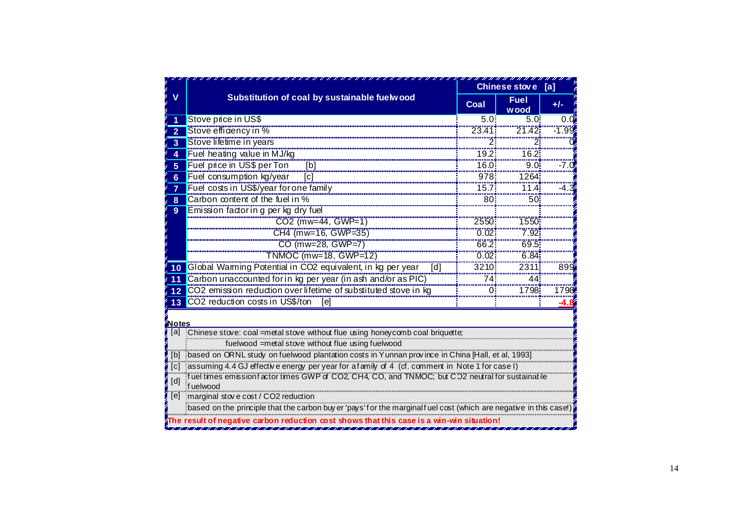|                         |                                                                                                                  |           | <b>Chinese stove</b> | [a]    |  |  |  |  |
|-------------------------|------------------------------------------------------------------------------------------------------------------|-----------|----------------------|--------|--|--|--|--|
| v                       | Substitution of coal by sustainable fuelwood                                                                     | Coal      | <b>Fuel</b><br>w ood | $+/-$  |  |  |  |  |
|                         | Stove price in US\$                                                                                              | $5.0^{1}$ | $5.0^{\circ}$        | 0.0    |  |  |  |  |
| $\overline{2}$          | Stove efficiency in %                                                                                            | 23.41     | 71.42                | -1.99. |  |  |  |  |
| $\overline{\mathbf{3}}$ | Stove lifetime in years                                                                                          |           |                      |        |  |  |  |  |
| $\boldsymbol{\Lambda}$  | Fuel heating value in MJ/kg                                                                                      | 19.2      | 16.2                 |        |  |  |  |  |
| $5\phantom{1}$          | Fuel price in US\$ per Ton<br>[b]                                                                                | 16.0      | 9.0                  | ח 7.   |  |  |  |  |
| $6\phantom{a}$          | Fuel consumption kg/year<br>lcl                                                                                  | 978       | 1264                 |        |  |  |  |  |
| $\overline{7}$          | Fuel costs in US\$/year for one family                                                                           | 15.7      | 11.4:                |        |  |  |  |  |
| 8                       | Carbon content of the fuel in %                                                                                  | 80        | 50                   |        |  |  |  |  |
| 9                       | Emission factor in g per kg dry fuel                                                                             |           |                      |        |  |  |  |  |
|                         | CO2 (mw=44, GWP=1)                                                                                               | 2550      | 1550                 |        |  |  |  |  |
|                         | CH4 (mw=16, GWP=35)                                                                                              | 0.02      | 7.92                 |        |  |  |  |  |
|                         | CO (mw=28, GWP=7)                                                                                                | 66.2      | 69.51                |        |  |  |  |  |
|                         | TNMOC (mw=18, GWP=12)                                                                                            | 0.02      | $-6.84$              |        |  |  |  |  |
| 10                      | Global Warming Potential in CO2 equivalent, in kg per year<br>[d]                                                | 3210      | 2311                 | 899    |  |  |  |  |
| 11                      | Carbon unaccounted for in kg per year (in ash and/or as PIC)                                                     | 74:       | 44                   |        |  |  |  |  |
| 12                      | CO2 emission reduction over lifetime of substituted stove in kg                                                  |           | 1798                 | 1798   |  |  |  |  |
| 13                      | CO2 reduction costs in US\$/ton<br>[e]                                                                           |           |                      |        |  |  |  |  |
|                         |                                                                                                                  |           |                      |        |  |  |  |  |
| <b>Notes</b>            | [a] Chinese stove: coal =metal stove without flue using honeycomb coal briquette;                                |           |                      |        |  |  |  |  |
|                         | fuelwood = metal stove without flue using fuelwood                                                               |           |                      |        |  |  |  |  |
| [b]                     | based on ORNL study on fuelwood plantation costs in Yunnan province in China [Hall, et al, 1993]                 |           |                      |        |  |  |  |  |
| $\lceil c \rceil$       | assuming 4.4 GJ effective energy per year for a family of 4 (cf. comment in Note 1 for case I)                   |           |                      |        |  |  |  |  |
|                         | fuel times emission factor times GWP of CO2, CH4, CO, and TNMOC; but CO2 neutral for sustainable                 |           |                      |        |  |  |  |  |
| [d]                     | f uelwood                                                                                                        |           |                      |        |  |  |  |  |
| [e]                     | imarginal stove cost / CO2 reduction                                                                             |           |                      |        |  |  |  |  |
|                         | based on the principle that the carbon buy er 'pays' for the marginalfuel cost (which are negative in this case) |           |                      |        |  |  |  |  |
|                         |                                                                                                                  |           |                      |        |  |  |  |  |
|                         |                                                                                                                  |           |                      |        |  |  |  |  |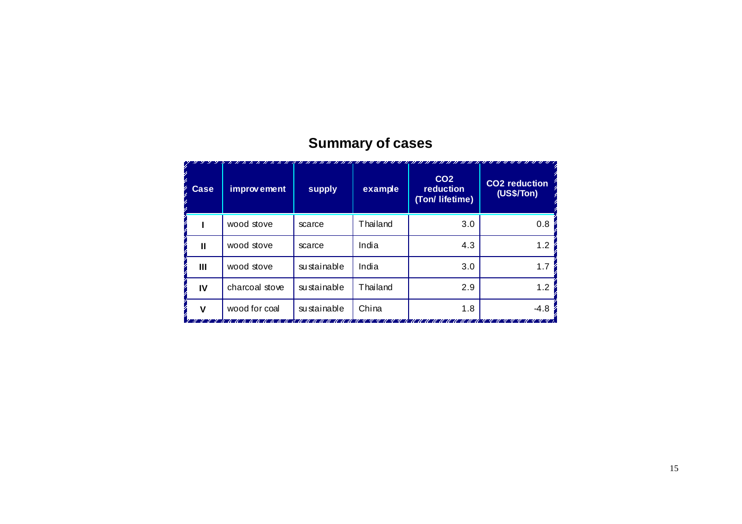| <b>Case</b> | improvement    | supply      | example  | CO <sub>2</sub><br>reduction<br>(Ton/ lifetime) | <b>CO2</b> reduction<br>(US\$/Ton) |
|-------------|----------------|-------------|----------|-------------------------------------------------|------------------------------------|
|             | wood stove     | scarce      | Thailand | 3.0                                             | 0.8                                |
| Ш           | wood stove     | scarce      | India    | 4.3                                             | 1.2                                |
| Ш           | wood stove     | sustainable | India    | 3.0                                             | 1.7                                |
| IV          | charcoal stove | sustainable | Thailand | 2.9                                             | 1.2                                |
| v           | wood for coal  | sustainable | China    | 1.8                                             | $-4.8$                             |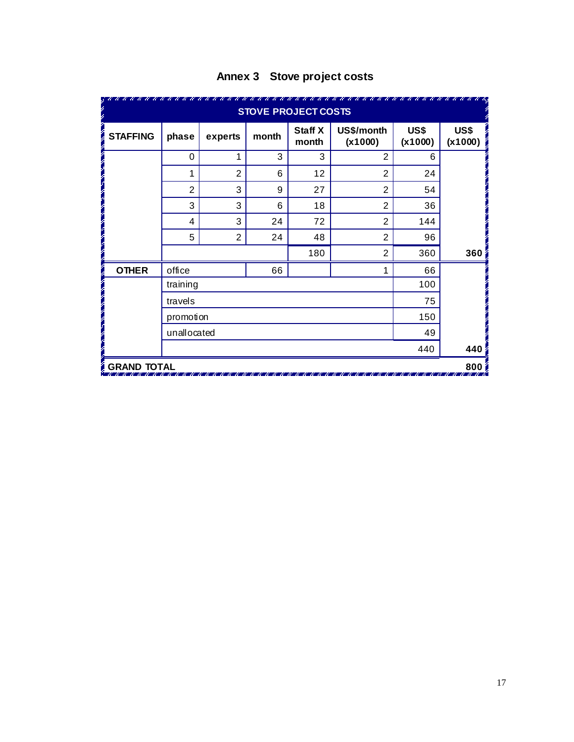|                    | <b>STOVE PROJECT COSTS</b> |                |       |                         |                       |                 |                  |  |  |  |
|--------------------|----------------------------|----------------|-------|-------------------------|-----------------------|-----------------|------------------|--|--|--|
| <b>STAFFING</b>    | phase                      | experts        | month | <b>Staff X</b><br>month | US\$/month<br>(x1000) | US\$<br>(x1000) | US\$<br>(x1000)  |  |  |  |
|                    | $\Omega$                   | 1              | 3     | 3                       | $\overline{2}$        | 6               |                  |  |  |  |
|                    | 1                          | $\overline{2}$ | 6     | 12                      | 2                     | 24              |                  |  |  |  |
|                    | $\overline{2}$             | 3              | 9     | 27                      | $\overline{2}$        | 54              |                  |  |  |  |
|                    | 3                          | 3              | 6     | 18                      | $\overline{2}$        | 36              |                  |  |  |  |
|                    | 4                          | 3              | 24    | 72                      | $\overline{2}$        | 144             |                  |  |  |  |
|                    | 5                          | $\overline{2}$ | 24    | 48                      | $\overline{2}$        | 96              |                  |  |  |  |
|                    |                            |                |       | 180                     | 2                     | 360             | 360 <sub>1</sub> |  |  |  |
| <b>OTHER</b>       | office                     |                | 66    |                         |                       | 66              |                  |  |  |  |
|                    | training                   |                |       |                         |                       | 100             |                  |  |  |  |
|                    | travels                    |                |       |                         |                       |                 |                  |  |  |  |
|                    | promotion                  |                |       |                         |                       | 150             |                  |  |  |  |
| unallocated        |                            |                |       |                         |                       |                 |                  |  |  |  |
|                    |                            |                |       |                         |                       | 440             | 440              |  |  |  |
| <b>GRAND TOTAL</b> |                            |                |       |                         |                       |                 | 800              |  |  |  |

# **Annex 3 Stove project costs**